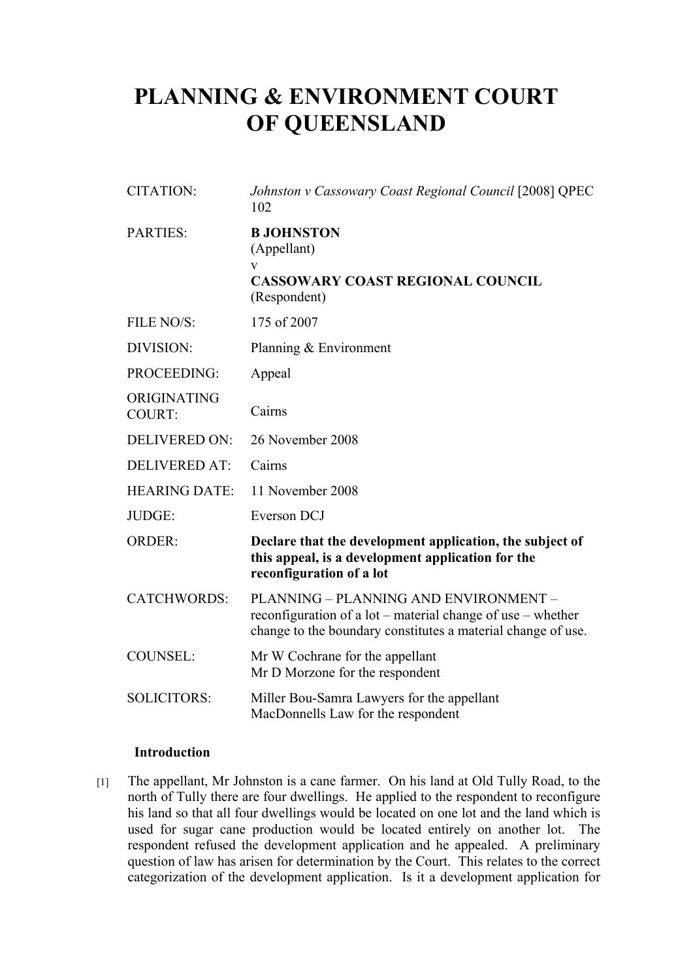# **PLANNING & ENVIRONMENT COURT OF QUEENSLAND**

| <b>CITATION:</b>             | Johnston v Cassowary Coast Regional Council [2008] QPEC<br>102                                                                                                       |
|------------------------------|----------------------------------------------------------------------------------------------------------------------------------------------------------------------|
| <b>PARTIES:</b>              | <b>B JOHNSTON</b><br>(Appellant)<br>V<br><b>CASSOWARY COAST REGIONAL COUNCIL</b><br>(Respondent)                                                                     |
| FILE NO/S:                   | 175 of 2007                                                                                                                                                          |
| DIVISION:                    | Planning $& Environment$                                                                                                                                             |
| PROCEEDING:                  | Appeal                                                                                                                                                               |
| ORIGINATING<br><b>COURT:</b> | Cairns                                                                                                                                                               |
| <b>DELIVERED ON:</b>         | 26 November 2008                                                                                                                                                     |
| <b>DELIVERED AT:</b>         | Cairns                                                                                                                                                               |
| <b>HEARING DATE:</b>         | 11 November 2008                                                                                                                                                     |
| JUDGE:                       | Everson DCJ                                                                                                                                                          |
| <b>ORDER:</b>                | Declare that the development application, the subject of<br>this appeal, is a development application for the<br>reconfiguration of a lot                            |
| <b>CATCHWORDS:</b>           | PLANNING - PLANNING AND ENVIRONMENT -<br>reconfiguration of a lot – material change of use – whether<br>change to the boundary constitutes a material change of use. |
| <b>COUNSEL:</b>              | Mr W Cochrane for the appellant<br>Mr D Morzone for the respondent                                                                                                   |
| <b>SOLICITORS:</b>           | Miller Bou-Samra Lawyers for the appellant<br>MacDonnells Law for the respondent                                                                                     |

### **Introduction**

[1] The appellant, Mr Johnston is a cane farmer. On his land at Old Tully Road, to the north of Tully there are four dwellings. He applied to the respondent to reconfigure his land so that all four dwellings would be located on one lot and the land which is used for sugar cane production would be located entirely on another lot. The respondent refused the development application and he appealed. A preliminary question of law has arisen for determination by the Court. This relates to the correct categorization of the development application. Is it a development application for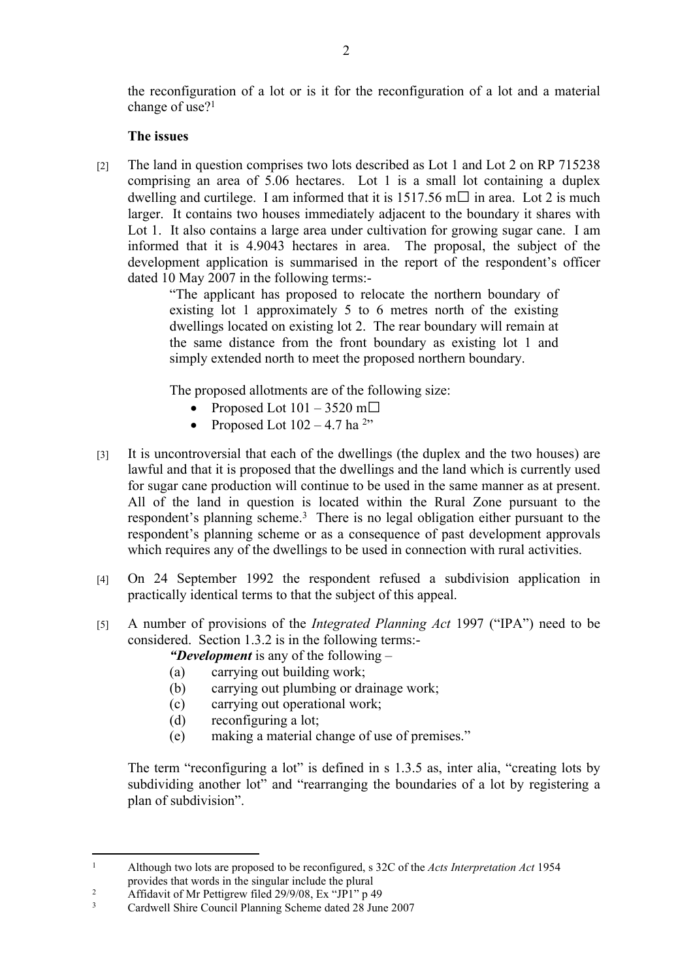the reconfiguration of a lot or is it for the reconfiguration of a lot and a material change of use?<sup>1</sup>

## **The issues**

[2] The land in question comprises two lots described as Lot 1 and Lot 2 on RP 715238 comprising an area of 5.06 hectares. Lot 1 is a small lot containing a duplex dwelling and curtilege. I am informed that it is  $1517.56$  m $\Box$  in area. Lot 2 is much larger. It contains two houses immediately adjacent to the boundary it shares with Lot 1. It also contains a large area under cultivation for growing sugar cane. I am informed that it is 4.9043 hectares in area. The proposal, the subject of the development application is summarised in the report of the respondent's officer dated 10 May 2007 in the following terms:-

"The applicant has proposed to relocate the northern boundary of existing lot 1 approximately 5 to 6 metres north of the existing dwellings located on existing lot 2. The rear boundary will remain at the same distance from the front boundary as existing lot 1 and simply extended north to meet the proposed northern boundary.

The proposed allotments are of the following size:

- Proposed Lot  $101 3520$  m $\Box$
- Proposed Lot  $102 4.7$  ha <sup>2</sup>"
- [3] It is uncontroversial that each of the dwellings (the duplex and the two houses) are lawful and that it is proposed that the dwellings and the land which is currently used for sugar cane production will continue to be used in the same manner as at present. All of the land in question is located within the Rural Zone pursuant to the respondent's planning scheme.<sup>3</sup> There is no legal obligation either pursuant to the respondent's planning scheme or as a consequence of past development approvals which requires any of the dwellings to be used in connection with rural activities.
- [4] On 24 September 1992 the respondent refused a subdivision application in practically identical terms to that the subject of this appeal.
- [5] A number of provisions of the *Integrated Planning Act* 1997 ("IPA") need to be considered. Section 1.3.2 is in the following terms:-

*"Development* is any of the following –

- (a) carrying out building work;
- (b) carrying out plumbing or drainage work;
- (c) carrying out operational work;
- (d) reconfiguring a lot;
- (e) making a material change of use of premises."

The term "reconfiguring a lot" is defined in s 1.3.5 as, inter alia, "creating lots by subdividing another lot" and "rearranging the boundaries of a lot by registering a plan of subdivision".

<sup>1</sup> Although two lots are proposed to be reconfigured, s 32C of the *Acts Interpretation Act* 1954 provides that words in the singular include the plural

<sup>2</sup> Affidavit of Mr Pettigrew filed 29/9/08, Ex "JP1" p 49

<sup>3</sup> Cardwell Shire Council Planning Scheme dated 28 June 2007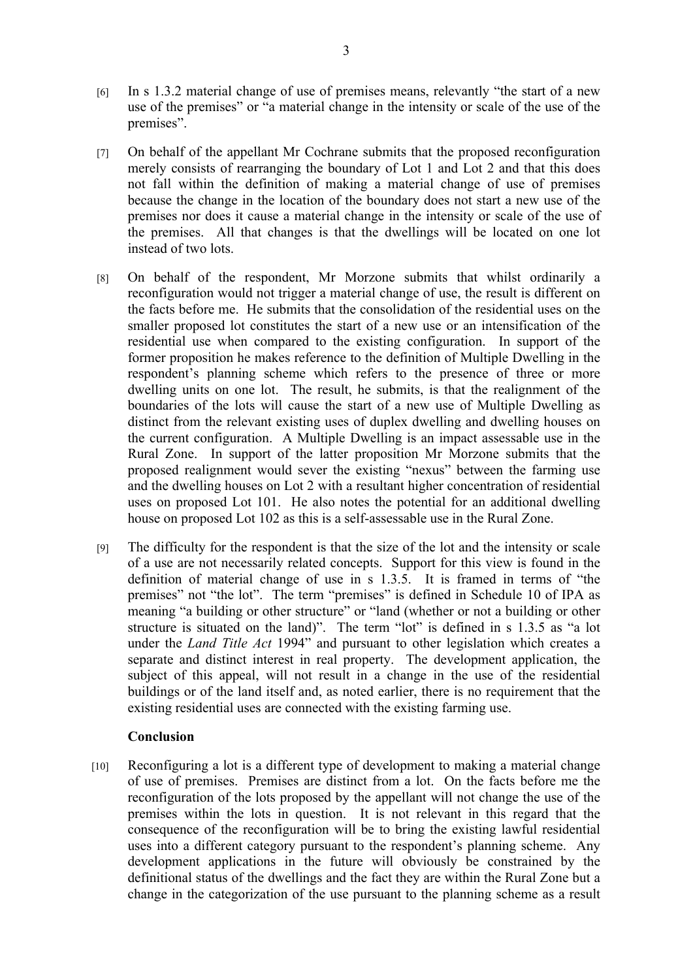- [6] In s 1.3.2 material change of use of premises means, relevantly "the start of a new use of the premises" or "a material change in the intensity or scale of the use of the premises".
- [7] On behalf of the appellant Mr Cochrane submits that the proposed reconfiguration merely consists of rearranging the boundary of Lot 1 and Lot 2 and that this does not fall within the definition of making a material change of use of premises because the change in the location of the boundary does not start a new use of the premises nor does it cause a material change in the intensity or scale of the use of the premises. All that changes is that the dwellings will be located on one lot instead of two lots.
- [8] On behalf of the respondent, Mr Morzone submits that whilst ordinarily a reconfiguration would not trigger a material change of use, the result is different on the facts before me. He submits that the consolidation of the residential uses on the smaller proposed lot constitutes the start of a new use or an intensification of the residential use when compared to the existing configuration. In support of the former proposition he makes reference to the definition of Multiple Dwelling in the respondent's planning scheme which refers to the presence of three or more dwelling units on one lot. The result, he submits, is that the realignment of the boundaries of the lots will cause the start of a new use of Multiple Dwelling as distinct from the relevant existing uses of duplex dwelling and dwelling houses on the current configuration. A Multiple Dwelling is an impact assessable use in the Rural Zone. In support of the latter proposition Mr Morzone submits that the proposed realignment would sever the existing "nexus" between the farming use and the dwelling houses on Lot 2 with a resultant higher concentration of residential uses on proposed Lot 101. He also notes the potential for an additional dwelling house on proposed Lot 102 as this is a self-assessable use in the Rural Zone.
- [9] The difficulty for the respondent is that the size of the lot and the intensity or scale of a use are not necessarily related concepts. Support for this view is found in the definition of material change of use in s 1.3.5. It is framed in terms of "the premises" not "the lot". The term "premises" is defined in Schedule 10 of IPA as meaning "a building or other structure" or "land (whether or not a building or other structure is situated on the land)". The term "lot" is defined in s 1.3.5 as "a lot under the *Land Title Act* 1994" and pursuant to other legislation which creates a separate and distinct interest in real property. The development application, the subject of this appeal, will not result in a change in the use of the residential buildings or of the land itself and, as noted earlier, there is no requirement that the existing residential uses are connected with the existing farming use.

### **Conclusion**

[10] Reconfiguring a lot is a different type of development to making a material change of use of premises. Premises are distinct from a lot. On the facts before me the reconfiguration of the lots proposed by the appellant will not change the use of the premises within the lots in question. It is not relevant in this regard that the consequence of the reconfiguration will be to bring the existing lawful residential uses into a different category pursuant to the respondent's planning scheme. Any development applications in the future will obviously be constrained by the definitional status of the dwellings and the fact they are within the Rural Zone but a change in the categorization of the use pursuant to the planning scheme as a result